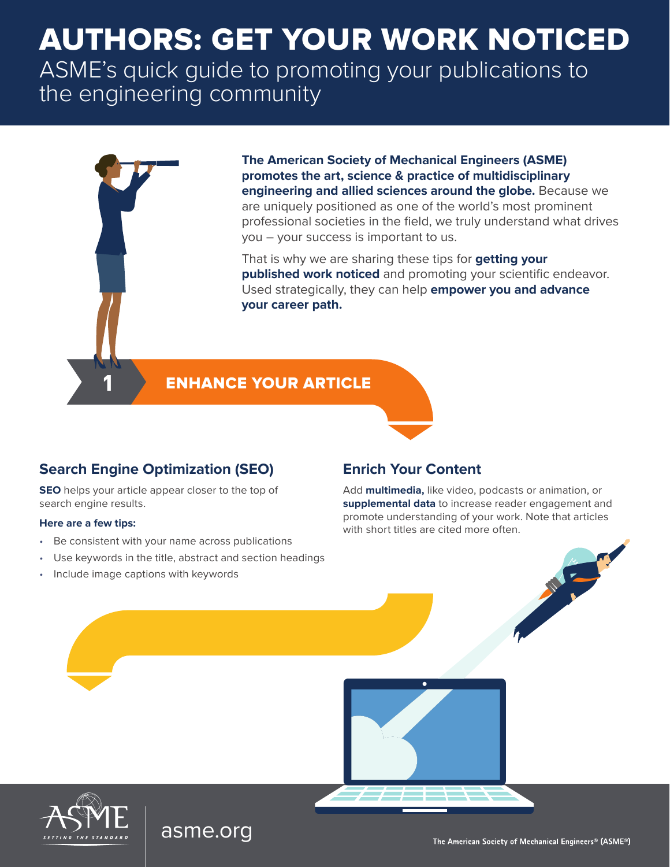# AUTHORS: GET YOUR WORK NOTICED

ASME's quick guide to promoting your publications to the engineering community



**The American Society of Mechanical Engineers (ASME) promotes the art, science & practice of multidisciplinary engineering and allied sciences around the globe.** Because we are uniquely positioned as one of the world's most prominent professional societies in the field, we truly understand what drives you – your success is important to us.

That is why we are sharing these tips for **getting your published work noticed** and promoting your scientific endeavor. Used strategically, they can help **empower you and advance your career path.**

#### **ENHANCE YOUR ARTICLE**

#### **Search Engine Optimization (SEO)**

**SEO** helps your article appear closer to the top of search engine results.

#### **Here are a few tips:**

- Be consistent with your name across publications
- Use keywords in the title, abstract and section headings

[asme.org](http://asme.org)

• Include image captions with keywords

#### **Enrich Your Content**

Add **multimedia,** like video, podcasts or animation, or **supplemental data** to increase reader engagement and promote understanding of your work. Note that articles with short titles are cited more often.